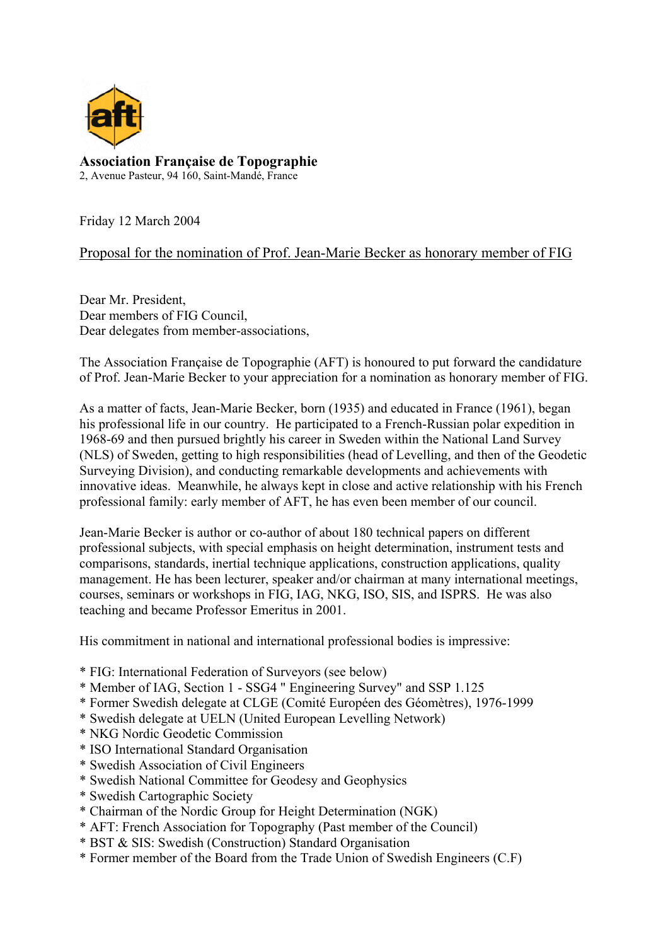

**Association Française de Topographie**  2, Avenue Pasteur, 94 160, Saint-Mandé, France

Friday 12 March 2004

Proposal for the nomination of Prof. Jean-Marie Becker as honorary member of FIG

Dear Mr. President, Dear members of FIG Council, Dear delegates from member-associations,

The Association Française de Topographie (AFT) is honoured to put forward the candidature of Prof. Jean-Marie Becker to your appreciation for a nomination as honorary member of FIG.

As a matter of facts, Jean-Marie Becker, born (1935) and educated in France (1961), began his professional life in our country. He participated to a French-Russian polar expedition in 1968-69 and then pursued brightly his career in Sweden within the National Land Survey (NLS) of Sweden, getting to high responsibilities (head of Levelling, and then of the Geodetic Surveying Division), and conducting remarkable developments and achievements with innovative ideas. Meanwhile, he always kept in close and active relationship with his French professional family: early member of AFT, he has even been member of our council.

Jean-Marie Becker is author or co-author of about 180 technical papers on different professional subjects, with special emphasis on height determination, instrument tests and comparisons, standards, inertial technique applications, construction applications, quality management. He has been lecturer, speaker and/or chairman at many international meetings, courses, seminars or workshops in FIG, IAG, NKG, ISO, SIS, and ISPRS. He was also teaching and became Professor Emeritus in 2001.

His commitment in national and international professional bodies is impressive:

- \* FIG: International Federation of Surveyors (see below)
- \* Member of IAG, Section 1 SSG4 " Engineering Survey" and SSP 1.125
- \* Former Swedish delegate at CLGE (Comité Européen des Géomètres), 1976-1999
- \* Swedish delegate at UELN (United European Levelling Network)
- \* NKG Nordic Geodetic Commission
- \* ISO International Standard Organisation
- \* Swedish Association of Civil Engineers
- \* Swedish National Committee for Geodesy and Geophysics
- \* Swedish Cartographic Society
- \* Chairman of the Nordic Group for Height Determination (NGK)
- \* AFT: French Association for Topography (Past member of the Council)
- \* BST & SIS: Swedish (Construction) Standard Organisation
- \* Former member of the Board from the Trade Union of Swedish Engineers (C.F)